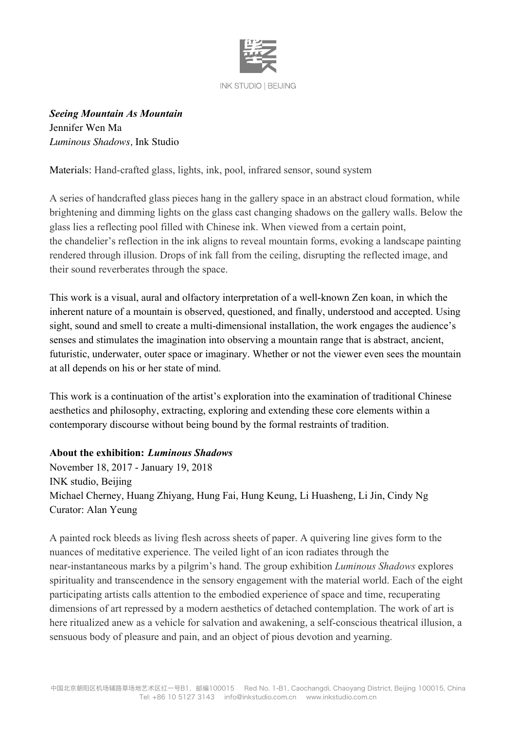

*Seeing Mountain As Mountain* Jennifer Wen Ma *Luminous Shadows,* Ink Studio

Materials: Hand-crafted glass, lights, ink, pool, infrared sensor, sound system

A series of handcrafted glass pieces hang in the gallery space in an abstract cloud formation, while brightening and dimming lights on the glass cast changing shadows on the gallery walls. Below the glass lies a reflecting pool filled with Chinese ink. When viewed from a certain point, the chandelier's reflection in the ink aligns to reveal mountain forms, evoking a landscape painting rendered through illusion. Drops of ink fall from the ceiling, disrupting the reflected image, and their sound reverberates through the space.

This work is a visual, aural and olfactory interpretation of a well-known Zen koan, in which the inherent nature of a mountain is observed, questioned, and finally, understood and accepted. Using sight, sound and smell to create a multi-dimensional installation, the work engages the audience's senses and stimulates the imagination into observing a mountain range that is abstract, ancient, futuristic, underwater, outer space or imaginary. Whether or not the viewer even sees the mountain at all depends on his or her state of mind.

This work is a continuation of the artist's exploration into the examination of traditional Chinese aesthetics and philosophy, extracting, exploring and extending these core elements within a contemporary discourse without being bound by the formal restraints of tradition.

## **About the exhibition:** *Luminous Shadows*

November 18, 2017 - January 19, 2018 INK studio, Beijing Michael Cherney, Huang Zhiyang, Hung Fai, Hung Keung, Li Huasheng, Li Jin, Cindy Ng Curator: Alan Yeung

A painted rock bleeds as living flesh across sheets of paper. A quivering line gives form to the nuances of meditative experience. The veiled light of an icon radiates through the near-instantaneous marks by a pilgrim's hand. The group exhibition *Luminous Shadows* explores spirituality and transcendence in the sensory engagement with the material world. Each of the eight participating artists calls attention to the embodied experience of space and time, recuperating dimensions of art repressed by a modern aesthetics of detached contemplation. The work of art is here ritualized anew as a vehicle for salvation and awakening, a self-conscious theatrical illusion, a sensuous body of pleasure and pain, and an object of pious devotion and yearning.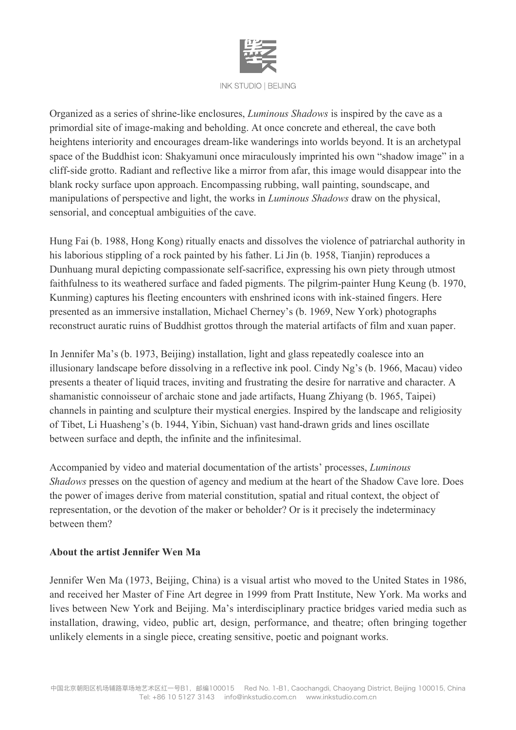

Organized as a series of shrine-like enclosures, *Luminous Shadows* is inspired by the cave as a primordial site of image-making and beholding. At once concrete and ethereal, the cave both heightens interiority and encourages dream-like wanderings into worlds beyond. It is an archetypal space of the Buddhist icon: Shakyamuni once miraculously imprinted his own "shadow image" in a cliff-side grotto. Radiant and reflective like a mirror from afar, this image would disappear into the blank rocky surface upon approach. Encompassing rubbing, wall painting, soundscape, and manipulations of perspective and light, the works in *Luminous Shadows* draw on the physical, sensorial, and conceptual ambiguities of the cave.

Hung Fai (b. 1988, Hong Kong) ritually enacts and dissolves the violence of patriarchal authority in his laborious stippling of a rock painted by his father. Li Jin (b. 1958, Tianjin) reproduces a Dunhuang mural depicting compassionate self-sacrifice, expressing his own piety through utmost faithfulness to its weathered surface and faded pigments. The pilgrim-painter Hung Keung (b. 1970, Kunming) captures his fleeting encounters with enshrined icons with ink-stained fingers. Here presented as an immersive installation, Michael Cherney's (b. 1969, New York) photographs reconstruct auratic ruins of Buddhist grottos through the material artifacts of film and xuan paper.

In Jennifer Ma's (b. 1973, Beijing) installation, light and glass repeatedly coalesce into an illusionary landscape before dissolving in a reflective ink pool. Cindy Ng's (b. 1966, Macau) video presents a theater of liquid traces, inviting and frustrating the desire for narrative and character. A shamanistic connoisseur of archaic stone and jade artifacts, Huang Zhiyang (b. 1965, Taipei) channels in painting and sculpture their mystical energies. Inspired by the landscape and religiosity of Tibet, Li Huasheng's (b. 1944, Yibin, Sichuan) vast hand-drawn grids and lines oscillate between surface and depth, the infinite and the infinitesimal.

Accompanied by video and material documentation of the artists' processes, *Luminous Shadows* presses on the question of agency and medium at the heart of the Shadow Cave lore. Does the power of images derive from material constitution, spatial and ritual context, the object of representation, or the devotion of the maker or beholder? Or is it precisely the indeterminacy between them?

## **About the artist Jennifer Wen Ma**

Jennifer Wen Ma (1973, Beijing, China) is a visual artist who moved to the United States in 1986, and received her Master of Fine Art degree in 1999 from Pratt Institute, New York. Ma works and lives between New York and Beijing. Ma's interdisciplinary practice bridges varied media such as installation, drawing, video, public art, design, performance, and theatre; often bringing together unlikely elements in a single piece, creating sensitive, poetic and poignant works.